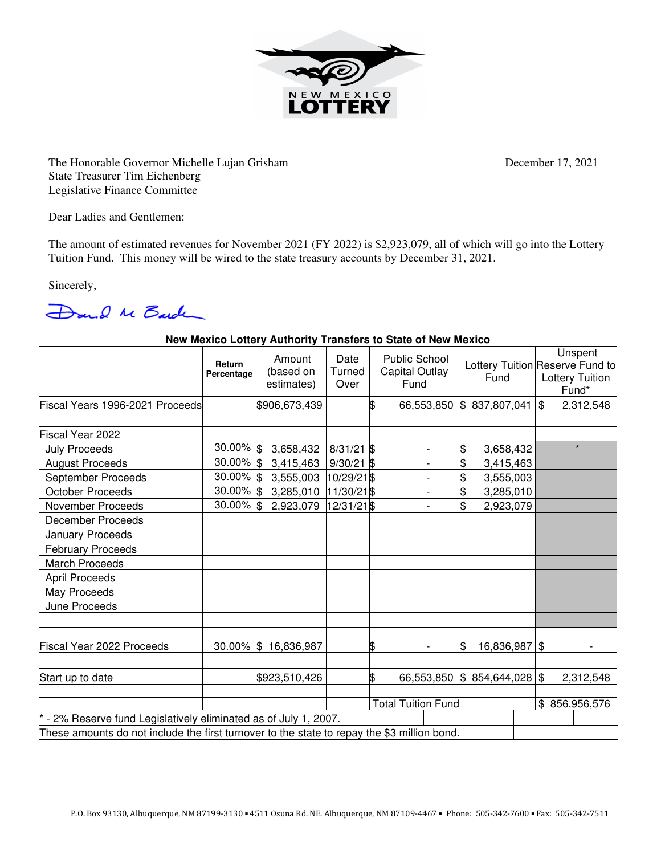

The Honorable Governor Michelle Lujan Grisham December 17, 2021 State Treasurer Tim Eichenberg Legislative Finance Committee

Dear Ladies and Gentlemen:

The amount of estimated revenues for November 2021 (FY 2022) is \$2,923,079, all of which will go into the Lottery Tuition Fund. This money will be wired to the state treasury accounts by December 31, 2021.

Sincerely,

Dand Me Barden

|                                                                                             |                      |                                   |                        |    |                                                       | New Mexico Lottery Authority Transfers to State of New Mexico |  |                                                                               |  |  |  |  |  |  |
|---------------------------------------------------------------------------------------------|----------------------|-----------------------------------|------------------------|----|-------------------------------------------------------|---------------------------------------------------------------|--|-------------------------------------------------------------------------------|--|--|--|--|--|--|
|                                                                                             | Return<br>Percentage | Amount<br>(based on<br>estimates) | Date<br>Turned<br>Over |    | <b>Public School</b><br><b>Capital Outlay</b><br>Fund | Fund                                                          |  | Unspent<br>Lottery Tuition Reserve Fund to<br><b>Lottery Tuition</b><br>Fund* |  |  |  |  |  |  |
| Fiscal Years 1996-2021 Proceeds                                                             |                      | \$906,673,439                     |                        |    | 66,553,850                                            | 837,807,041<br>ß.                                             |  | $\mathfrak{S}$<br>2,312,548                                                   |  |  |  |  |  |  |
|                                                                                             |                      |                                   |                        |    |                                                       |                                                               |  |                                                                               |  |  |  |  |  |  |
| Fiscal Year 2022                                                                            |                      |                                   |                        |    |                                                       |                                                               |  |                                                                               |  |  |  |  |  |  |
| <b>July Proceeds</b>                                                                        | 30.00% \$            | 3,658,432                         | $8/31/21$ \$           |    | $\overline{\phantom{0}}$                              | \$<br>3,658,432                                               |  | $\star$                                                                       |  |  |  |  |  |  |
| <b>August Proceeds</b>                                                                      | 30.00% \$            | 3,415,463                         | $9/30/21$ \$           |    | $\overline{\phantom{0}}$                              | \$<br>3,415,463                                               |  |                                                                               |  |  |  |  |  |  |
| September Proceeds                                                                          | 30.00% \$            | 3,555,003                         | 10/29/21\$             |    |                                                       | \$<br>3,555,003                                               |  |                                                                               |  |  |  |  |  |  |
| <b>October Proceeds</b>                                                                     | $30.00\%$ \$         | 3,285,010                         | 11/30/21 \$            |    |                                                       | \$<br>3,285,010                                               |  |                                                                               |  |  |  |  |  |  |
| November Proceeds                                                                           | $30.00\%$ \$         | 2,923,079                         | 12/31/21\$             |    | $\overline{\phantom{a}}$                              | \$<br>2,923,079                                               |  |                                                                               |  |  |  |  |  |  |
| <b>December Proceeds</b>                                                                    |                      |                                   |                        |    |                                                       |                                                               |  |                                                                               |  |  |  |  |  |  |
| January Proceeds                                                                            |                      |                                   |                        |    |                                                       |                                                               |  |                                                                               |  |  |  |  |  |  |
| <b>February Proceeds</b>                                                                    |                      |                                   |                        |    |                                                       |                                                               |  |                                                                               |  |  |  |  |  |  |
| <b>March Proceeds</b>                                                                       |                      |                                   |                        |    |                                                       |                                                               |  |                                                                               |  |  |  |  |  |  |
| <b>April Proceeds</b>                                                                       |                      |                                   |                        |    |                                                       |                                                               |  |                                                                               |  |  |  |  |  |  |
| May Proceeds                                                                                |                      |                                   |                        |    |                                                       |                                                               |  |                                                                               |  |  |  |  |  |  |
| June Proceeds                                                                               |                      |                                   |                        |    |                                                       |                                                               |  |                                                                               |  |  |  |  |  |  |
| <b>Fiscal Year 2022 Proceeds</b>                                                            | $30.00\%$ \$         | 16,836,987                        |                        | \$ |                                                       | 16,836,987<br>\$                                              |  | \$                                                                            |  |  |  |  |  |  |
| Start up to date                                                                            |                      | \$923,510,426                     |                        | \$ | 66,553,850                                            | \$854,644,028                                                 |  | \$<br>2,312,548                                                               |  |  |  |  |  |  |
|                                                                                             |                      | <b>Total Tuition Fund</b>         |                        |    |                                                       |                                                               |  | \$856,956,576                                                                 |  |  |  |  |  |  |
| - 2% Reserve fund Legislatively eliminated as of July 1, 2007.                              |                      |                                   |                        |    |                                                       |                                                               |  |                                                                               |  |  |  |  |  |  |
| These amounts do not include the first turnover to the state to repay the \$3 million bond. |                      |                                   |                        |    |                                                       |                                                               |  |                                                                               |  |  |  |  |  |  |